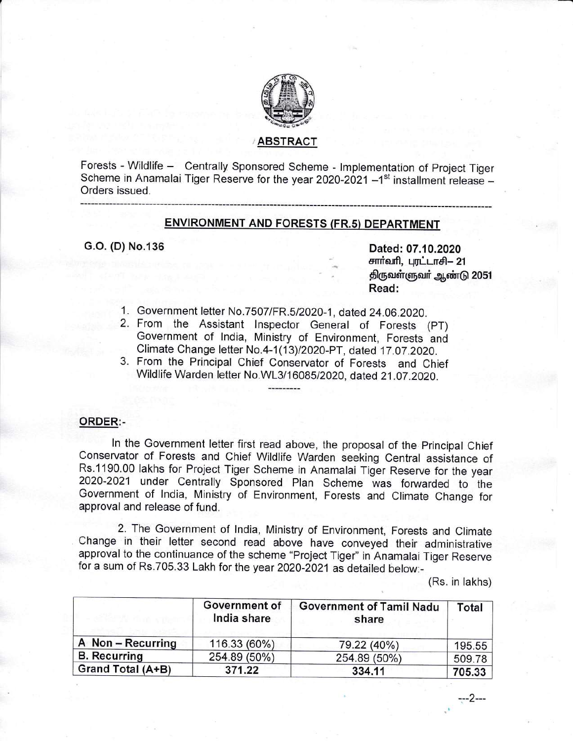

# ABSTRACT

Forests - Wildlife - Centrally Sponsored Scheme - lmplementation of Project Tiger Scheme in Anamalai Tiger Reserve for the year 2020-2021  $-1<sup>st</sup>$  installment release  $-$ Orders issued.

## ENVIRONMENT AND FORESTS (FR.5) DEPARTMENT

G.o. (D) No.l36 Dated: 07.10.2020 சார்வரி, புரட்டாசி— 21 திருவள்ளுவர் ஆண்டு 2051 Read:

- 1. Government letter No.7507/FR.512020-1, dated 24.06.2020.
- 2. From the Assistant Inspector General of Forests (PT) Government of India, Ministry of Environment, Forests and<br>Climate Change letter No.4-1(13)/2020-PT, dated 17.07.2020.
- 3. From the Principal Chief Conservator of Forests and Chief Wildlife Warden letter No.WL3/16085/2020, dated 21.07.2020.

## ORDER:-

ln the Government letter first read above, the proposal of the Principal Chief Conservator of Forests and Chief Wildlife Warden seeking Central assistance of Rs.1190.00 lakhs for Project Tiger Scheme in Anamalai Tiger Reserve for the year 2020-2021 under Centrally Sponsored Plan Scheme was fonvarded to the Government of lndia, Ministry of Environment, Forests and Climate Change for approval and release of fund.

2. The Government of lndia, Ministry of Environment, Forests and Climate Change in their letter second read above have conveyed their administrative approval to the continuance of the scheme "Project Tiger" in Anamalai Tiger Reserve for a sum of Rs.705.33 Lakh for the year 2o2o-2o21as detailed below:-

(Rs. in takhs)

|                     | Government of<br>India share<br>116.33 (60%) | <b>Government of Tamil Nadu</b><br>share | Total  |
|---------------------|----------------------------------------------|------------------------------------------|--------|
| A Non-Recurring     |                                              | 79.22 (40%)                              | 195.55 |
| <b>B.</b> Recurring | 254.89 (50%)                                 | 254.89 (50%)                             | 509.78 |
| Grand Total (A+B)   | 371.22                                       | 334.11                                   | 705.33 |

---2---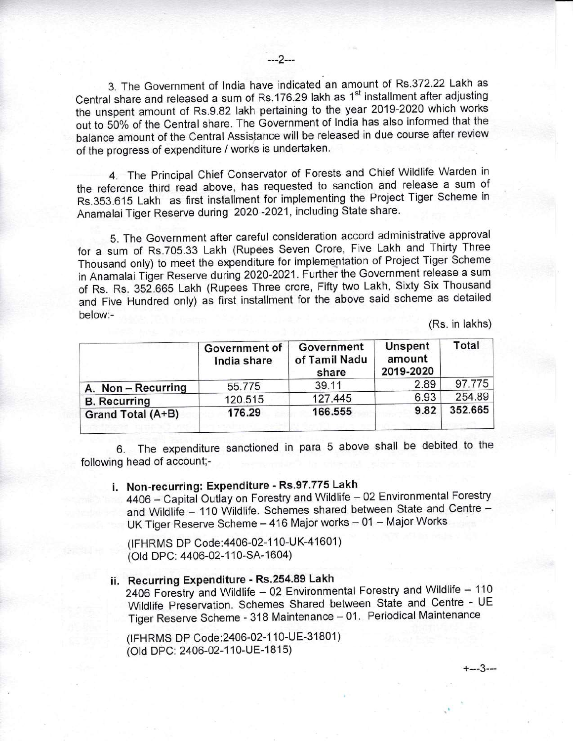3. The Government of India have indicated an amount of Rs.372.22 Lakh as Central share and released a sum of Rs.176.29 lakh as 1<sup>st</sup> installment after adjusting the unspent amount of Rs.9.82 lakh pertaining to the year 2019-2020 which works out to 50% of the Central share. The Government of India has also informed that the balance amount of the Central Assistance will be released in due course after review of the progress of expenditure / works is undertaken.

4. The Principal Chief Conservator of Forests and Chief Wildlife Warden in the reference third read above, has requested to sanction and release a sum of Rs.353.615 Lakh as first installment for implementing the Project Tiger Scheme in Anamalai Tiger Reserve during 2020 -2021, including State share.

5. The Government after careful consideration accord administrative approval for a sum of Rs.705.33 Lakh (Rupees Seven Crore, Five Lakh and Thirty Three Thousand only) to meet the expenditure for implementation of Project Tiger Scheme in Anamalai Tiger Reserve during 2020-2021. Further the Government release a sum of Rs. Rs. 352.665 Lakh (Rupees Three crore, Fifty two Lakh, Sixty Six Thousand and Five Hundred only) as fiist installment for the above said scheme as detailed below:-

(Rs. in lakhs)

+---3---

| Government of<br>India share | Government<br>of Tamil Nadu<br>share | <b>Unspent</b><br>amount<br>2019-2020 | Total   |
|------------------------------|--------------------------------------|---------------------------------------|---------|
|                              | 39.11                                | 2.89                                  | 97.775  |
|                              | 127.445                              | 6.93                                  | 254.89  |
| 176.29                       | 166.555                              | 9.82                                  | 352.665 |
|                              | 55.775<br>120.515                    |                                       |         |

6. The expenditure sanctioned in para 5 above shall be debited to the following head of account;-

# i. Non-recurring: Expenditure - Rs.97.775 Lakh

4406 - Capital Outlay on Forestry and Wildlife - 02 Environmental Forestry and Wildlife - 110 Wildlife. Schemes shared between State and Centre -UK Tiger Reserve Scheme - 416 Major works - 01 - Major Works

(IFHRMS DP Code: 4406-02-110-UK-41601) (Old DPC: 4406-02-110-SA-1604)

# ii. Recurring Expenditure - Rs.254.89 Lakh

2406 Forestry and Wildlife - 02 Environmental Forestry and Wildlife - 110 Wildlife Preservation. Schemes Shared between State and Centre - UE Tiger Reserve Scheme - 318 Maintenance - 01. Periodical Maintenance

(IFHRMS DP Code: 2406-02-110-UE-31801) (Old DPC: 2406-02-110-UE-1815)